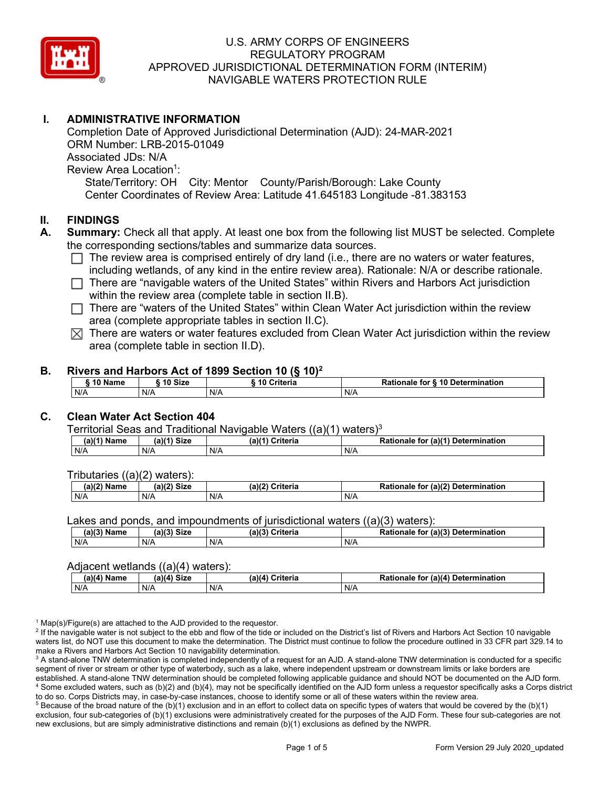

# **I. ADMINISTRATIVE INFORMATION**

Completion Date of Approved Jurisdictional Determination (AJD): 24-MAR-2021 ORM Number: LRB-2015-01049 Associated JDs: N/A Review Area Location<sup>1</sup>: State/Territory: OH City: Mentor County/Parish/Borough: Lake County Center Coordinates of Review Area: Latitude 41.645183 Longitude -81.383153

#### **II. FINDINGS**

- **A. Summary:** Check all that apply. At least one box from the following list MUST be selected. Complete the corresponding sections/tables and summarize data sources.
	- $\Box$  The review area is comprised entirely of dry land (i.e., there are no waters or water features, including wetlands, of any kind in the entire review area). Rationale: N/A or describe rationale.
	- $\Box$  There are "navigable waters of the United States" within Rivers and Harbors Act jurisdiction within the review area (complete table in section II.B).
	- $\Box$  There are "waters of the United States" within Clean Water Act jurisdiction within the review area (complete appropriate tables in section II.C).
	- $\boxtimes$  There are waters or water features excluded from Clean Water Act jurisdiction within the review area (complete table in section II.D).

#### **B. Rivers and Harbors Act of 1899 Section 10 (§ 10)2**

|     | ົ 10 Name |     | ົ 10 Size | Criteria<br>. 1 U |     | Rationale for § 10 Determination |
|-----|-----------|-----|-----------|-------------------|-----|----------------------------------|
| N/A |           | N/A |           | N/A               | N/A |                                  |

# **C. Clean Water Act Section 404**

Territorial Seas and Traditional Navigable Waters  $((a)(1)$  waters)<sup>3</sup>

| $(a)(1)$ .<br>Name | $(a)$ $(4)$<br>Size | (a)<br>Criteria | (a)(1) Determination<br>Rationale<br>for |
|--------------------|---------------------|-----------------|------------------------------------------|
| N/A                | N/A                 | N/A             | N/A                                      |

Tributaries ((a)(2) waters):

| $1001$ $F_{\rm{H}}$<br>Name | $\sim$ 1/2<br>- 01-4<br>oizu | (a)(2)<br>Nuite aig<br>пе | $\mathcal{L}$<br>. Determination<br>TO |
|-----------------------------|------------------------------|---------------------------|----------------------------------------|
| N/A                         | N/A                          | .<br>N/A                  | N/A                                    |

Lakes and ponds, and impoundments of jurisdictional waters  $((a)(3)$  waters):

| (a)(3) Name | (a)(3) Size | (a)(?') | Criteria | <b>Rationale</b><br>for | $\mathcal{L}$ (a)(?)<br>Determination |
|-------------|-------------|---------|----------|-------------------------|---------------------------------------|
| N/A         | N/A         | N/A     |          | N/A                     |                                       |

#### Adjacent wetlands ((a)(4) waters):

|               | .           | .               |                                    |
|---------------|-------------|-----------------|------------------------------------|
| $(a)(4)$ Name | (a)(4) Size | (a)(4) Criteria | Rationale for (a)(4) Determination |
| N/A           | N/f         | N/A             | N/A                                |

 $1$  Map(s)/Figure(s) are attached to the AJD provided to the requestor.

<sup>2</sup> If the navigable water is not subject to the ebb and flow of the tide or included on the District's list of Rivers and Harbors Act Section 10 navigable waters list, do NOT use this document to make the determination. The District must continue to follow the procedure outlined in 33 CFR part 329.14 to make a Rivers and Harbors Act Section 10 navigability determination.

<sup>3</sup> A stand-alone TNW determination is completed independently of a request for an AJD. A stand-alone TNW determination is conducted for a specific segment of river or stream or other type of waterbody, such as a lake, where independent upstream or downstream limits or lake borders are established. A stand-alone TNW determination should be completed following applicable guidance and should NOT be documented on the AJD form. <sup>4</sup> Some excluded waters, such as (b)(2) and (b)(4), may not be specifically identified on the AJD form unless a requestor specifically asks a Corps district to do so. Corps Districts may, in case-by-case instances, choose to identify some or all of these waters within the review area.

 $5$  Because of the broad nature of the (b)(1) exclusion and in an effort to collect data on specific types of waters that would be covered by the (b)(1) exclusion, four sub-categories of (b)(1) exclusions were administratively created for the purposes of the AJD Form. These four sub-categories are not new exclusions, but are simply administrative distinctions and remain (b)(1) exclusions as defined by the NWPR.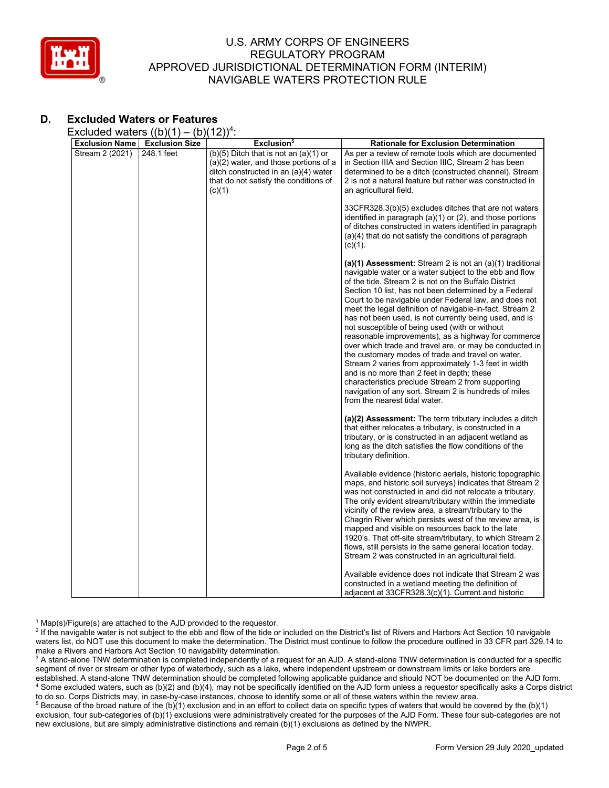

# **D. Excluded Waters or Features**

Excluded waters  $((b)(1) - (b)(12))^4$ :

| <b>Exclusion Name</b> | <b>Exclusion Size</b> | Exclusion <sup>5</sup>                                                                                                                                                          | <b>Rationale for Exclusion Determination</b>                                                                                                                                                                                                                                                                                                                                                                                                                                                                                                                                                                                                                                                                                                                                                                                                                                                       |
|-----------------------|-----------------------|---------------------------------------------------------------------------------------------------------------------------------------------------------------------------------|----------------------------------------------------------------------------------------------------------------------------------------------------------------------------------------------------------------------------------------------------------------------------------------------------------------------------------------------------------------------------------------------------------------------------------------------------------------------------------------------------------------------------------------------------------------------------------------------------------------------------------------------------------------------------------------------------------------------------------------------------------------------------------------------------------------------------------------------------------------------------------------------------|
| Stream 2 (2021)       | 248.1 feet            | $(b)(5)$ Ditch that is not an $(a)(1)$ or<br>$(a)(2)$ water, and those portions of a<br>ditch constructed in an (a)(4) water<br>that do not satisfy the conditions of<br>(c)(1) | As per a review of remote tools which are documented<br>in Section IIIA and Section IIIC, Stream 2 has been<br>determined to be a ditch (constructed channel). Stream<br>2 is not a natural feature but rather was constructed in<br>an agricultural field.                                                                                                                                                                                                                                                                                                                                                                                                                                                                                                                                                                                                                                        |
|                       |                       |                                                                                                                                                                                 | 33CFR328.3(b)(5) excludes ditches that are not waters<br>identified in paragraph (a)(1) or (2), and those portions<br>of ditches constructed in waters identified in paragraph<br>$(a)(4)$ that do not satisfy the conditions of paragraph<br>$(c)(1)$ .                                                                                                                                                                                                                                                                                                                                                                                                                                                                                                                                                                                                                                           |
|                       |                       |                                                                                                                                                                                 | (a)(1) Assessment: Stream 2 is not an $(a)(1)$ traditional<br>navigable water or a water subject to the ebb and flow<br>of the tide. Stream 2 is not on the Buffalo District<br>Section 10 list, has not been determined by a Federal<br>Court to be navigable under Federal law, and does not<br>meet the legal definition of navigable-in-fact. Stream 2<br>has not been used, is not currently being used, and is<br>not susceptible of being used (with or without<br>reasonable improvements), as a highway for commerce<br>over which trade and travel are, or may be conducted in<br>the customary modes of trade and travel on water.<br>Stream 2 varies from approximately 1-3 feet in width<br>and is no more than 2 feet in depth; these<br>characteristics preclude Stream 2 from supporting<br>navigation of any sort. Stream 2 is hundreds of miles<br>from the nearest tidal water. |
|                       |                       |                                                                                                                                                                                 | (a)(2) Assessment: The term tributary includes a ditch<br>that either relocates a tributary, is constructed in a<br>tributary, or is constructed in an adjacent wetland as<br>long as the ditch satisfies the flow conditions of the<br>tributary definition.                                                                                                                                                                                                                                                                                                                                                                                                                                                                                                                                                                                                                                      |
|                       |                       |                                                                                                                                                                                 | Available evidence (historic aerials, historic topographic<br>maps, and historic soil surveys) indicates that Stream 2<br>was not constructed in and did not relocate a tributary.<br>The only evident stream/tributary within the immediate<br>vicinity of the review area, a stream/tributary to the<br>Chagrin River which persists west of the review area, is<br>mapped and visible on resources back to the late<br>1920's. That off-site stream/tributary, to which Stream 2<br>flows, still persists in the same general location today.<br>Stream 2 was constructed in an agricultural field.                                                                                                                                                                                                                                                                                             |
|                       |                       |                                                                                                                                                                                 | Available evidence does not indicate that Stream 2 was<br>constructed in a wetland meeting the definition of<br>adjacent at 33CFR328.3(c)(1). Current and historic                                                                                                                                                                                                                                                                                                                                                                                                                                                                                                                                                                                                                                                                                                                                 |

 $1$  Map(s)/Figure(s) are attached to the AJD provided to the requestor.

<sup>2</sup> If the navigable water is not subject to the ebb and flow of the tide or included on the District's list of Rivers and Harbors Act Section 10 navigable waters list, do NOT use this document to make the determination. The District must continue to follow the procedure outlined in 33 CFR part 329.14 to make a Rivers and Harbors Act Section 10 navigability determination.

<sup>3</sup> A stand-alone TNW determination is completed independently of a request for an AJD. A stand-alone TNW determination is conducted for a specific segment of river or stream or other type of waterbody, such as a lake, where independent upstream or downstream limits or lake borders are established. A stand-alone TNW determination should be completed following applicable guidance and should NOT be documented on the AJD form. <sup>4</sup> Some excluded waters, such as (b)(2) and (b)(4), may not be specifically identified on the AJD form unless a requestor specifically asks a Corps district to do so. Corps Districts may, in case-by-case instances, choose to identify some or all of these waters within the review area.

<sup>5</sup> Because of the broad nature of the (b)(1) exclusion and in an effort to collect data on specific types of waters that would be covered by the (b)(1) exclusion, four sub-categories of (b)(1) exclusions were administratively created for the purposes of the AJD Form. These four sub-categories are not new exclusions, but are simply administrative distinctions and remain (b)(1) exclusions as defined by the NWPR.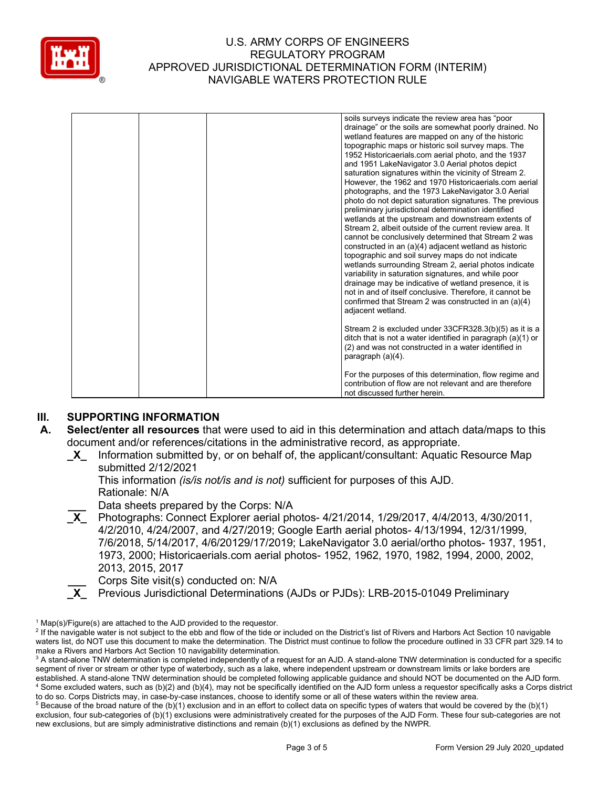

|  |  | soils surveys indicate the review area has "poor<br>drainage" or the soils are somewhat poorly drained. No<br>wetland features are mapped on any of the historic<br>topographic maps or historic soil survey maps. The<br>1952 Historicaerials.com aerial photo, and the 1937<br>and 1951 LakeNavigator 3.0 Aerial photos depict<br>saturation signatures within the vicinity of Stream 2.<br>However, the 1962 and 1970 Historicaerials.com aerial<br>photographs, and the 1973 LakeNavigator 3.0 Aerial<br>photo do not depict saturation signatures. The previous<br>preliminary jurisdictional determination identified<br>wetlands at the upstream and downstream extents of<br>Stream 2, albeit outside of the current review area. It<br>cannot be conclusively determined that Stream 2 was<br>constructed in an (a)(4) adjacent wetland as historic<br>topographic and soil survey maps do not indicate<br>wetlands surrounding Stream 2, aerial photos indicate<br>variability in saturation signatures, and while poor<br>drainage may be indicative of wetland presence, it is<br>not in and of itself conclusive. Therefore, it cannot be<br>confirmed that Stream 2 was constructed in an (a)(4)<br>adjacent wetland. |
|--|--|-------------------------------------------------------------------------------------------------------------------------------------------------------------------------------------------------------------------------------------------------------------------------------------------------------------------------------------------------------------------------------------------------------------------------------------------------------------------------------------------------------------------------------------------------------------------------------------------------------------------------------------------------------------------------------------------------------------------------------------------------------------------------------------------------------------------------------------------------------------------------------------------------------------------------------------------------------------------------------------------------------------------------------------------------------------------------------------------------------------------------------------------------------------------------------------------------------------------------------------|
|  |  | Stream 2 is excluded under 33CFR328.3(b)(5) as it is a<br>ditch that is not a water identified in paragraph (a)(1) or<br>(2) and was not constructed in a water identified in<br>paragraph $(a)(4)$ .                                                                                                                                                                                                                                                                                                                                                                                                                                                                                                                                                                                                                                                                                                                                                                                                                                                                                                                                                                                                                               |
|  |  | For the purposes of this determination, flow regime and<br>contribution of flow are not relevant and are therefore<br>not discussed further herein.                                                                                                                                                                                                                                                                                                                                                                                                                                                                                                                                                                                                                                                                                                                                                                                                                                                                                                                                                                                                                                                                                 |

# **III. SUPPORTING INFORMATION**

- **A. Select/enter all resources** that were used to aid in this determination and attach data/maps to this document and/or references/citations in the administrative record, as appropriate.
	- **\_X\_** Information submitted by, or on behalf of, the applicant/consultant: Aquatic Resource Map submitted 2/12/2021

This information *(is/is not/is and is not)* sufficient for purposes of this AJD. Rationale: N/A

**\_\_\_** Data sheets prepared by the Corps: N/A

- **\_X\_** Photographs: Connect Explorer aerial photos- 4/21/2014, 1/29/2017, 4/4/2013, 4/30/2011, 4/2/2010, 4/24/2007, and 4/27/2019; Google Earth aerial photos- 4/13/1994, 12/31/1999, 7/6/2018, 5/14/2017, 4/6/20129/17/2019; LakeNavigator 3.0 aerial/ortho photos- 1937, 1951, 1973, 2000; Historicaerials.com aerial photos- 1952, 1962, 1970, 1982, 1994, 2000, 2002, 2013, 2015, 2017
- **Lacks** Corps Site visit(s) conducted on: N/A<br>**X** Previous Jurisdictional Determinations
	- **\_X\_** Previous Jurisdictional Determinations (AJDs or PJDs): LRB-2015-01049 Preliminary

 $1$  Map(s)/Figure(s) are attached to the AJD provided to the requestor.

<sup>&</sup>lt;sup>2</sup> If the navigable water is not subject to the ebb and flow of the tide or included on the District's list of Rivers and Harbors Act Section 10 navigable waters list, do NOT use this document to make the determination. The District must continue to follow the procedure outlined in 33 CFR part 329.14 to make a Rivers and Harbors Act Section 10 navigability determination.

<sup>&</sup>lt;sup>3</sup> A stand-alone TNW determination is completed independently of a request for an AJD. A stand-alone TNW determination is conducted for a specific segment of river or stream or other type of waterbody, such as a lake, where independent upstream or downstream limits or lake borders are established. A stand-alone TNW determination should be completed following applicable guidance and should NOT be documented on the AJD form. <sup>4</sup> Some excluded waters, such as (b)(2) and (b)(4), may not be specifically identified on the AJD form unless a requestor specifically asks a Corps district to do so. Corps Districts may, in case-by-case instances, choose to identify some or all of these waters within the review area.

 $5$  Because of the broad nature of the (b)(1) exclusion and in an effort to collect data on specific types of waters that would be covered by the (b)(1) exclusion, four sub-categories of (b)(1) exclusions were administratively created for the purposes of the AJD Form. These four sub-categories are not new exclusions, but are simply administrative distinctions and remain (b)(1) exclusions as defined by the NWPR.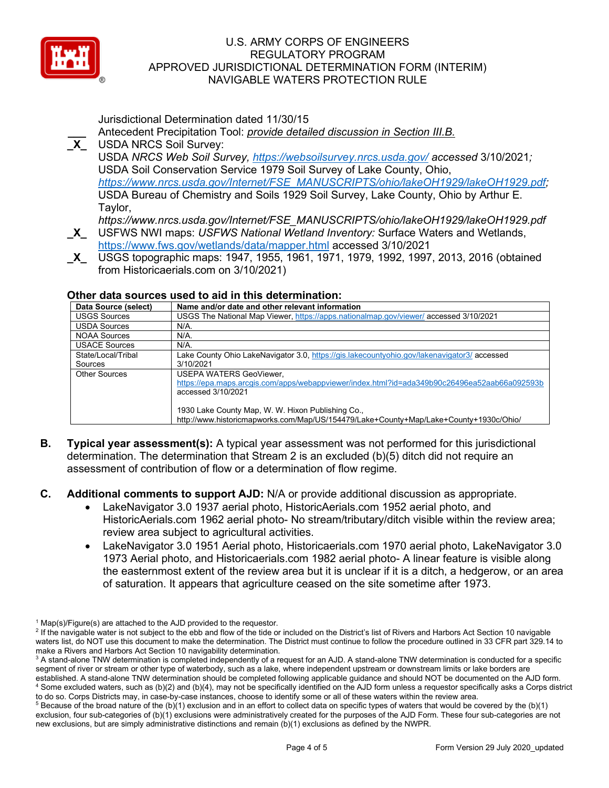

Jurisdictional Determination dated 11/30/15

- **\_\_\_** Antecedent Precipitation Tool: *provide detailed discussion in Section III.B.* **\_X\_** USDA NRCS Soil Survey: USDA *NRCS Web Soil Survey,<https://websoilsurvey.nrcs.usda.gov/> accessed* 3/10/2021*;*  USDA Soil Conservation Service 1979 Soil Survey of Lake County, Ohio, *[https://www.nrcs.usda.gov/Internet/FSE\\_MANUSCRIPTS/ohio/lakeOH1929/lakeOH1929.pdf;](https://www.nrcs.usda.gov/Internet/FSE_MANUSCRIPTS/ohio/lakeOH1929/lakeOH1929.pdf)*  USDA Bureau of Chemistry and Soils 1929 Soil Survey, Lake County, Ohio by Arthur E. Taylor,
- *https://www.nrcs.usda.gov/Internet/FSE\_MANUSCRIPTS/ohio/lakeOH1929/lakeOH1929.pdf* **\_X\_** USFWS NWI maps: *USFWS National Wetland Inventory:* Surface Waters and Wetlands, <https://www.fws.gov/wetlands/data/mapper.html> accessed 3/10/2021
- **\_X\_** USGS topographic maps: 1947, 1955, 1961, 1971, 1979, 1992, 1997, 2013, 2016 (obtained from Historicaerials.com on 3/10/2021)

# **Other data sources used to aid in this determination:**

| Data Source (select) | Name and/or date and other relevant information                                              |
|----------------------|----------------------------------------------------------------------------------------------|
| <b>USGS Sources</b>  | USGS The National Map Viewer, https://apps.nationalmap.gov/viewer/ accessed 3/10/2021        |
| <b>USDA Sources</b>  | N/A.                                                                                         |
| <b>NOAA Sources</b>  | N/A.                                                                                         |
| <b>USACE Sources</b> | N/A.                                                                                         |
| State/Local/Tribal   | Lake County Ohio LakeNavigator 3.0, https://gis.lakecountyohio.gov/lakenavigator3/ accessed  |
| Sources              | 3/10/2021                                                                                    |
| <b>Other Sources</b> | <b>USEPA WATERS GeoViewer,</b>                                                               |
|                      | https://epa.maps.arcgis.com/apps/webappviewer/index.html?id=ada349b90c26496ea52aab66a092593b |
|                      | accessed 3/10/2021                                                                           |
|                      |                                                                                              |
|                      | 1930 Lake County Map, W. W. Hixon Publishing Co.,                                            |
|                      | http://www.historicmapworks.com/Map/US/154479/Lake+County+Map/Lake+County+1930c/Ohio/        |

- **B. Typical year assessment(s):** A typical year assessment was not performed for this jurisdictional determination. The determination that Stream 2 is an excluded (b)(5) ditch did not require an assessment of contribution of flow or a determination of flow regime.
- **C. Additional comments to support AJD:** N/A or provide additional discussion as appropriate.
	- LakeNavigator 3.0 1937 aerial photo, HistoricAerials.com 1952 aerial photo, and HistoricAerials.com 1962 aerial photo- No stream/tributary/ditch visible within the review area; review area subject to agricultural activities.
	- LakeNavigator 3.0 1951 Aerial photo, Historicaerials.com 1970 aerial photo, LakeNavigator 3.0 1973 Aerial photo, and Historicaerials.com 1982 aerial photo- A linear feature is visible along the easternmost extent of the review area but it is unclear if it is a ditch, a hedgerow, or an area of saturation. It appears that agriculture ceased on the site sometime after 1973.

 $1$  Map(s)/Figure(s) are attached to the AJD provided to the requestor.

<sup>&</sup>lt;sup>2</sup> If the navigable water is not subject to the ebb and flow of the tide or included on the District's list of Rivers and Harbors Act Section 10 navigable waters list, do NOT use this document to make the determination. The District must continue to follow the procedure outlined in 33 CFR part 329.14 to make a Rivers and Harbors Act Section 10 navigability determination.

<sup>&</sup>lt;sup>3</sup> A stand-alone TNW determination is completed independently of a request for an AJD. A stand-alone TNW determination is conducted for a specific segment of river or stream or other type of waterbody, such as a lake, where independent upstream or downstream limits or lake borders are established. A stand-alone TNW determination should be completed following applicable guidance and should NOT be documented on the AJD form. <sup>4</sup> Some excluded waters, such as (b)(2) and (b)(4), may not be specifically identified on the AJD form unless a requestor specifically asks a Corps district to do so. Corps Districts may, in case-by-case instances, choose to identify some or all of these waters within the review area.

 $5$  Because of the broad nature of the (b)(1) exclusion and in an effort to collect data on specific types of waters that would be covered by the (b)(1) exclusion, four sub-categories of (b)(1) exclusions were administratively created for the purposes of the AJD Form. These four sub-categories are not new exclusions, but are simply administrative distinctions and remain (b)(1) exclusions as defined by the NWPR.